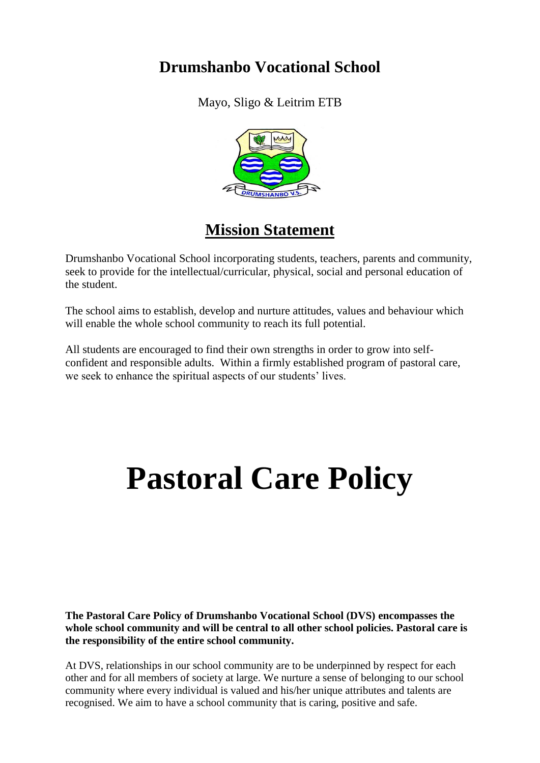# **Drumshanbo Vocational School**

Mayo, Sligo & Leitrim ETB



# **Mission Statement**

Drumshanbo Vocational School incorporating students, teachers, parents and community, seek to provide for the intellectual/curricular, physical, social and personal education of the student.

The school aims to establish, develop and nurture attitudes, values and behaviour which will enable the whole school community to reach its full potential.

All students are encouraged to find their own strengths in order to grow into selfconfident and responsible adults. Within a firmly established program of pastoral care, we seek to enhance the spiritual aspects of our students' lives.

# **Pastoral Care Policy**

**The Pastoral Care Policy of Drumshanbo Vocational School (DVS) encompasses the whole school community and will be central to all other school policies. Pastoral care is the responsibility of the entire school community.**

At DVS, relationships in our school community are to be underpinned by respect for each other and for all members of society at large. We nurture a sense of belonging to our school community where every individual is valued and his/her unique attributes and talents are recognised. We aim to have a school community that is caring, positive and safe.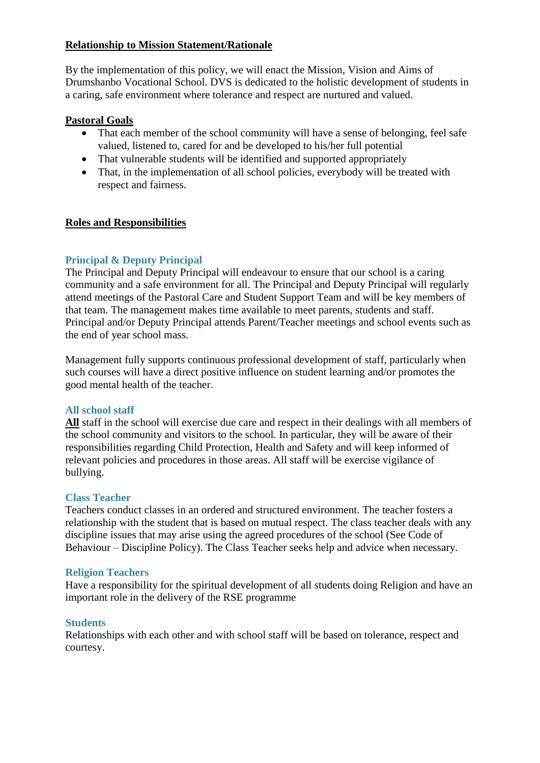#### **Relationship to Mission Statement/Rationale**

By the implementation of this policy, we will enact the Mission, Vision and Aims of Drumshanbo Vocational School. DVS is dedicated to the holistic development of students in a caring, safe environment where tolerance and respect are nurtured and valued.

#### **Pastoral Goals**

- That each member of the school community will have a sense of belonging, feel safe valued, listened to, cared for and be developed to his/her full potential
- That vulnerable students will be identified and supported appropriately
- That, in the implementation of all school policies, everybody will be treated with respect and fairness.

#### **Roles and Responsibilities**

#### **Principal & Deputy Principal**

The Principal and Deputy Principal will endeavour to ensure that our school is a caring community and a safe environment for all. The Principal and Deputy Principal will regularly attend meetings of the Pastoral Care and Student Support Team and will be key members of that team. The management makes time available to meet parents, students and staff. Principal and/or Deputy Principal attends Parent/Teacher meetings and school events such as the end of year school mass.

Management fully supports continuous professional development of staff, particularly when such courses will have a direct positive influence on student learning and/or promotes the good mental health of the teacher.

#### **All school staff**

**All** staff in the school will exercise due care and respect in their dealings with all members of the school community and visitors to the school. In particular, they will be aware of their responsibilities regarding Child Protection, Health and Safety and will keep informed of relevant policies and procedures in those areas. All staff will be exercise vigilance of bullying.

#### **Class Teacher**

Teachers conduct classes in an ordered and structured environment. The teacher fosters a relationship with the student that is based on mutual respect. The class teacher deals with any discipline issues that may arise using the agreed procedures of the school (See Code of Behaviour – Discipline Policy). The Class Teacher seeks help and advice when necessary.

#### **Religion Teachers**

Have a responsibility for the spiritual development of all students doing Religion and have an important role in the delivery of the RSE programme

#### **Students**

Relationships with each other and with school staff will be based on tolerance, respect and courtesy.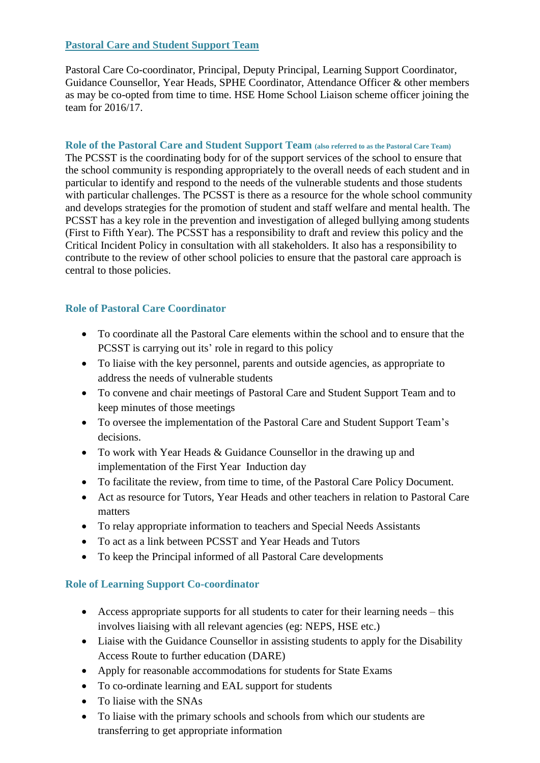#### **Pastoral Care and Student Support Team**

Pastoral Care Co-coordinator, Principal, Deputy Principal, Learning Support Coordinator, Guidance Counsellor, Year Heads, SPHE Coordinator, Attendance Officer & other members as may be co-opted from time to time. HSE Home School Liaison scheme officer joining the team for 2016/17.

#### **Role of the Pastoral Care and Student Support Team (also referred to as the Pastoral Care Team)**

The PCSST is the coordinating body for of the support services of the school to ensure that the school community is responding appropriately to the overall needs of each student and in particular to identify and respond to the needs of the vulnerable students and those students with particular challenges. The PCSST is there as a resource for the whole school community and develops strategies for the promotion of student and staff welfare and mental health. The PCSST has a key role in the prevention and investigation of alleged bullying among students (First to Fifth Year). The PCSST has a responsibility to draft and review this policy and the Critical Incident Policy in consultation with all stakeholders. It also has a responsibility to contribute to the review of other school policies to ensure that the pastoral care approach is central to those policies.

#### **Role of Pastoral Care Coordinator**

- To coordinate all the Pastoral Care elements within the school and to ensure that the PCSST is carrying out its' role in regard to this policy
- To liaise with the key personnel, parents and outside agencies, as appropriate to address the needs of vulnerable students
- To convene and chair meetings of Pastoral Care and Student Support Team and to keep minutes of those meetings
- To oversee the implementation of the Pastoral Care and Student Support Team's decisions.
- To work with Year Heads & Guidance Counsellor in the drawing up and implementation of the First Year Induction day
- To facilitate the review, from time to time, of the Pastoral Care Policy Document.
- Act as resource for Tutors, Year Heads and other teachers in relation to Pastoral Care matters
- To relay appropriate information to teachers and Special Needs Assistants
- To act as a link between PCSST and Year Heads and Tutors
- To keep the Principal informed of all Pastoral Care developments

#### **Role of Learning Support Co-coordinator**

- Access appropriate supports for all students to cater for their learning needs this involves liaising with all relevant agencies (eg: NEPS, HSE etc.)
- Liaise with the Guidance Counsellor in assisting students to apply for the Disability Access Route to further education (DARE)
- Apply for reasonable accommodations for students for State Exams
- To co-ordinate learning and EAL support for students
- To liaise with the SNAs
- To liaise with the primary schools and schools from which our students are transferring to get appropriate information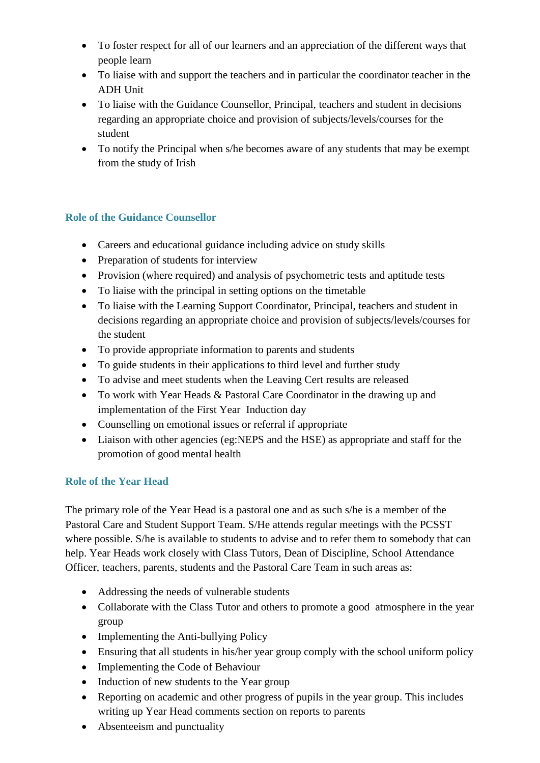- To foster respect for all of our learners and an appreciation of the different ways that people learn
- To liaise with and support the teachers and in particular the coordinator teacher in the ADH Unit
- To liaise with the Guidance Counsellor, Principal, teachers and student in decisions regarding an appropriate choice and provision of subjects/levels/courses for the student
- To notify the Principal when s/he becomes aware of any students that may be exempt from the study of Irish

# **Role of the Guidance Counsellor**

- Careers and educational guidance including advice on study skills
- Preparation of students for interview
- Provision (where required) and analysis of psychometric tests and aptitude tests
- To liaise with the principal in setting options on the timetable
- To liaise with the Learning Support Coordinator, Principal, teachers and student in decisions regarding an appropriate choice and provision of subjects/levels/courses for the student
- To provide appropriate information to parents and students
- To guide students in their applications to third level and further study
- To advise and meet students when the Leaving Cert results are released
- To work with Year Heads & Pastoral Care Coordinator in the drawing up and implementation of the First Year Induction day
- Counselling on emotional issues or referral if appropriate
- Liaison with other agencies (eg:NEPS and the HSE) as appropriate and staff for the promotion of good mental health

# **Role of the Year Head**

The primary role of the Year Head is a pastoral one and as such s/he is a member of the Pastoral Care and Student Support Team. S/He attends regular meetings with the PCSST where possible. S/he is available to students to advise and to refer them to somebody that can help. Year Heads work closely with Class Tutors, Dean of Discipline, School Attendance Officer, teachers, parents, students and the Pastoral Care Team in such areas as:

- Addressing the needs of vulnerable students
- Collaborate with the Class Tutor and others to promote a good atmosphere in the year group
- Implementing the Anti-bullying Policy
- Ensuring that all students in his/her year group comply with the school uniform policy
- Implementing the Code of Behaviour
- Induction of new students to the Year group
- Reporting on academic and other progress of pupils in the year group. This includes writing up Year Head comments section on reports to parents
- Absenteeism and punctuality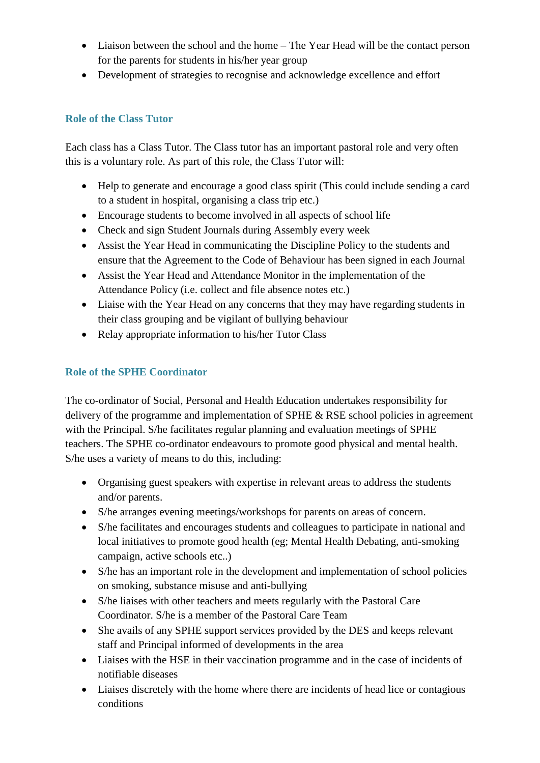- Liaison between the school and the home The Year Head will be the contact person for the parents for students in his/her year group
- Development of strategies to recognise and acknowledge excellence and effort

# **Role of the Class Tutor**

Each class has a Class Tutor. The Class tutor has an important pastoral role and very often this is a voluntary role. As part of this role, the Class Tutor will:

- Help to generate and encourage a good class spirit (This could include sending a card to a student in hospital, organising a class trip etc.)
- Encourage students to become involved in all aspects of school life
- Check and sign Student Journals during Assembly every week
- Assist the Year Head in communicating the Discipline Policy to the students and ensure that the Agreement to the Code of Behaviour has been signed in each Journal
- Assist the Year Head and Attendance Monitor in the implementation of the Attendance Policy (i.e. collect and file absence notes etc.)
- Liaise with the Year Head on any concerns that they may have regarding students in their class grouping and be vigilant of bullying behaviour
- Relay appropriate information to his/her Tutor Class

# **Role of the SPHE Coordinator**

The co-ordinator of Social, Personal and Health Education undertakes responsibility for delivery of the programme and implementation of SPHE & RSE school policies in agreement with the Principal. S/he facilitates regular planning and evaluation meetings of SPHE teachers. The SPHE co-ordinator endeavours to promote good physical and mental health. S/he uses a variety of means to do this, including:

- Organising guest speakers with expertise in relevant areas to address the students and/or parents.
- S/he arranges evening meetings/workshops for parents on areas of concern.
- S/he facilitates and encourages students and colleagues to participate in national and local initiatives to promote good health (eg; Mental Health Debating, anti-smoking campaign, active schools etc..)
- S/he has an important role in the development and implementation of school policies on smoking, substance misuse and anti-bullying
- S/he liaises with other teachers and meets regularly with the Pastoral Care Coordinator. S/he is a member of the Pastoral Care Team
- She avails of any SPHE support services provided by the DES and keeps relevant staff and Principal informed of developments in the area
- Liaises with the HSE in their vaccination programme and in the case of incidents of notifiable diseases
- Liaises discretely with the home where there are incidents of head lice or contagious conditions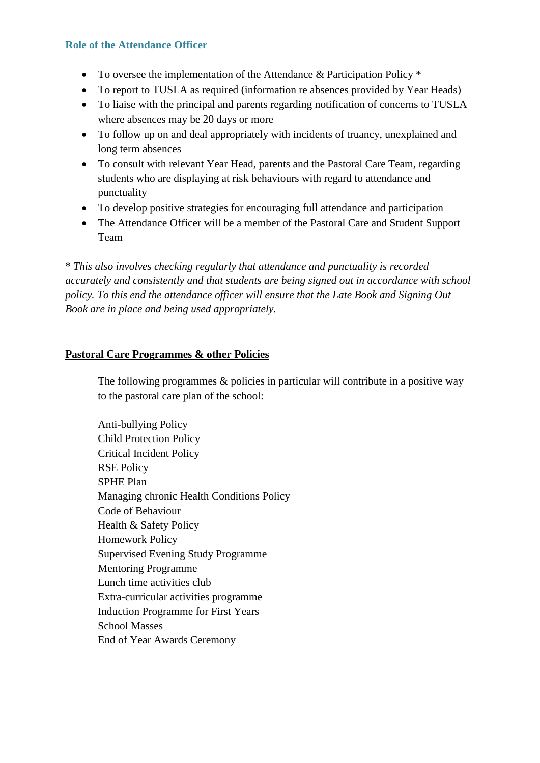#### **Role of the Attendance Officer**

- To oversee the implementation of the Attendance & Participation Policy  $*$
- To report to TUSLA as required (information re absences provided by Year Heads)
- To liaise with the principal and parents regarding notification of concerns to TUSLA where absences may be 20 days or more
- To follow up on and deal appropriately with incidents of truancy, unexplained and long term absences
- To consult with relevant Year Head, parents and the Pastoral Care Team, regarding students who are displaying at risk behaviours with regard to attendance and punctuality
- To develop positive strategies for encouraging full attendance and participation
- The Attendance Officer will be a member of the Pastoral Care and Student Support Team

\* *This also involves checking regularly that attendance and punctuality is recorded accurately and consistently and that students are being signed out in accordance with school policy. To this end the attendance officer will ensure that the Late Book and Signing Out Book are in place and being used appropriately.*

#### **Pastoral Care Programmes & other Policies**

The following programmes & policies in particular will contribute in a positive way to the pastoral care plan of the school:

Anti-bullying Policy Child Protection Policy Critical Incident Policy RSE Policy SPHE Plan Managing chronic Health Conditions Policy Code of Behaviour Health & Safety Policy Homework Policy Supervised Evening Study Programme Mentoring Programme Lunch time activities club Extra-curricular activities programme Induction Programme for First Years School Masses End of Year Awards Ceremony